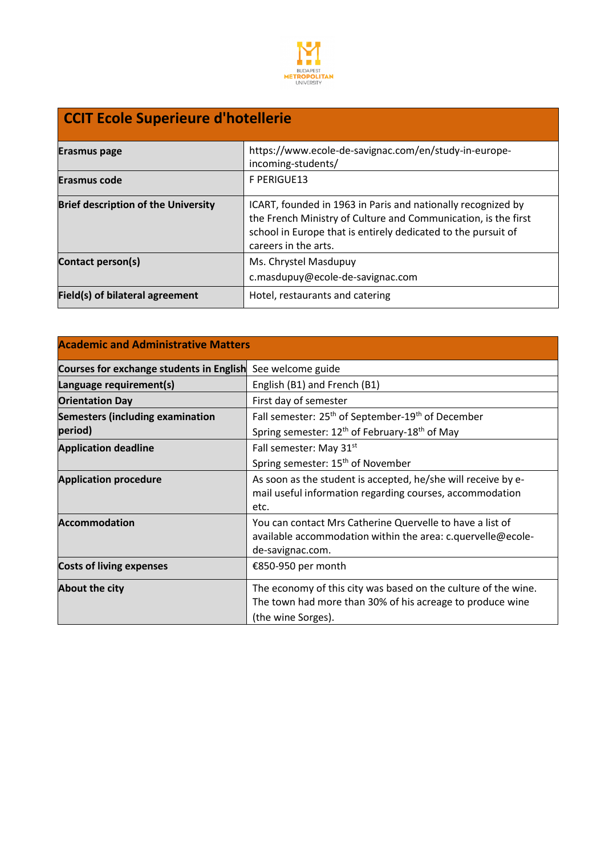

## **CCIT Ecole Superieure d'hotellerie**

| Erasmus page                               | https://www.ecole-de-savignac.com/en/study-in-europe-<br>incoming-students/                                                                                                                                             |
|--------------------------------------------|-------------------------------------------------------------------------------------------------------------------------------------------------------------------------------------------------------------------------|
| <b>Erasmus code</b>                        | F PERIGUE13                                                                                                                                                                                                             |
| <b>Brief description of the University</b> | ICART, founded in 1963 in Paris and nationally recognized by<br>the French Ministry of Culture and Communication, is the first<br>school in Europe that is entirely dedicated to the pursuit of<br>careers in the arts. |
| Contact person(s)                          | Ms. Chrystel Masdupuy<br>c.masdupuy@ecole-de-savignac.com                                                                                                                                                               |
| Field(s) of bilateral agreement            | Hotel, restaurants and catering                                                                                                                                                                                         |

| <b>Academic and Administrative Matters</b> |                                                                                                                                                   |  |
|--------------------------------------------|---------------------------------------------------------------------------------------------------------------------------------------------------|--|
| Courses for exchange students in English   | See welcome guide                                                                                                                                 |  |
| Language requirement(s)                    | English (B1) and French (B1)                                                                                                                      |  |
| <b>Orientation Day</b>                     | First day of semester                                                                                                                             |  |
| <b>Semesters (including examination</b>    | Fall semester: 25 <sup>th</sup> of September-19 <sup>th</sup> of December                                                                         |  |
| period)                                    | Spring semester: 12 <sup>th</sup> of February-18 <sup>th</sup> of May                                                                             |  |
| <b>Application deadline</b>                | Fall semester: May 31st                                                                                                                           |  |
|                                            | Spring semester: 15 <sup>th</sup> of November                                                                                                     |  |
| <b>Application procedure</b>               | As soon as the student is accepted, he/she will receive by e-<br>mail useful information regarding courses, accommodation<br>etc.                 |  |
| <b>Accommodation</b>                       | You can contact Mrs Catherine Quervelle to have a list of<br>available accommodation within the area: c.quervelle@ecole-<br>de-savignac.com.      |  |
| <b>Costs of living expenses</b>            | €850-950 per month                                                                                                                                |  |
| About the city                             | The economy of this city was based on the culture of the wine.<br>The town had more than 30% of his acreage to produce wine<br>(the wine Sorges). |  |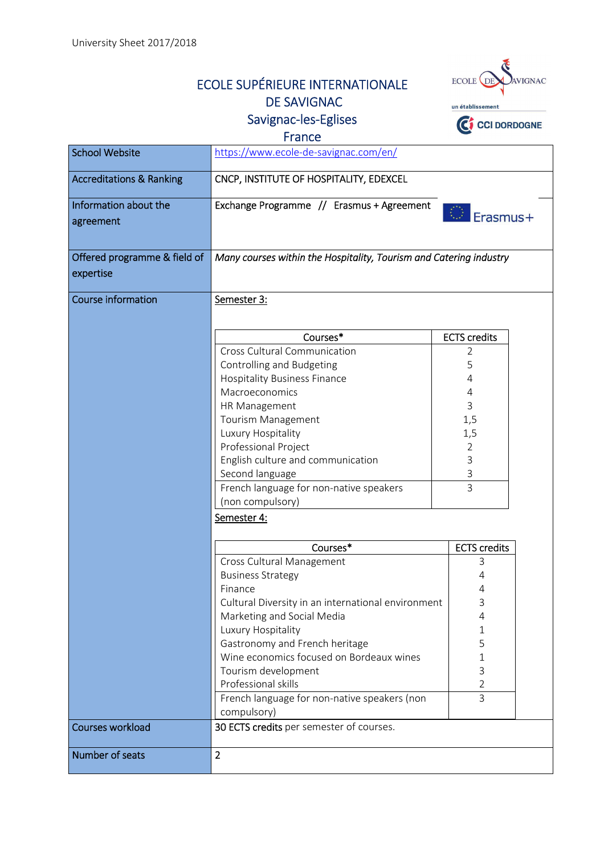## ECOLE SUPÉRIEURE INTERNATIONALE DE SAVIGNAC Savignac-les-Eglises



France

| <b>School Website</b>               | https://www.ecole-de-savignac.com/en/                              |                                  |
|-------------------------------------|--------------------------------------------------------------------|----------------------------------|
| <b>Accreditations &amp; Ranking</b> | CNCP, INSTITUTE OF HOSPITALITY, EDEXCEL                            |                                  |
| Information about the               | Exchange Programme // Erasmus + Agreement                          |                                  |
| agreement                           |                                                                    | Erasmus+                         |
| Offered programme & field of        | Many courses within the Hospitality, Tourism and Catering industry |                                  |
| expertise                           |                                                                    |                                  |
| <b>Course information</b>           | Semester 3:                                                        |                                  |
|                                     | Courses*                                                           | <b>ECTS</b> credits              |
|                                     | <b>Cross Cultural Communication</b>                                | 2                                |
|                                     | Controlling and Budgeting                                          | 5                                |
|                                     | <b>Hospitality Business Finance</b>                                | 4                                |
|                                     | Macroeconomics                                                     | 4                                |
|                                     | HR Management                                                      | 3                                |
|                                     | Tourism Management                                                 | 1,5                              |
|                                     | Luxury Hospitality                                                 | 1,5                              |
|                                     | Professional Project                                               | $\overline{2}$                   |
|                                     | English culture and communication                                  | 3                                |
|                                     | Second language                                                    | 3                                |
|                                     | French language for non-native speakers<br>(non compulsory)        | 3                                |
|                                     | Semester 4:                                                        |                                  |
|                                     | Courses*                                                           | <b>ECTS</b> credits              |
|                                     | Cross Cultural Management                                          | 3                                |
|                                     | <b>Business Strategy</b>                                           | 4                                |
|                                     | Finance                                                            | 4                                |
|                                     | Cultural Diversity in an international environment                 | 3                                |
|                                     | Marketing and Social Media                                         | 4                                |
|                                     | Luxury Hospitality                                                 | 1                                |
|                                     | Gastronomy and French heritage                                     | 5                                |
|                                     | Wine economics focused on Bordeaux wines                           | 1                                |
|                                     | Tourism development<br>Professional skills                         | 3                                |
|                                     |                                                                    | $\overline{2}$<br>$\overline{3}$ |
|                                     | French language for non-native speakers (non<br>compulsory)        |                                  |
| <b>Courses workload</b>             | 30 ECTS credits per semester of courses.                           |                                  |
| Number of seats                     | $\overline{2}$                                                     |                                  |